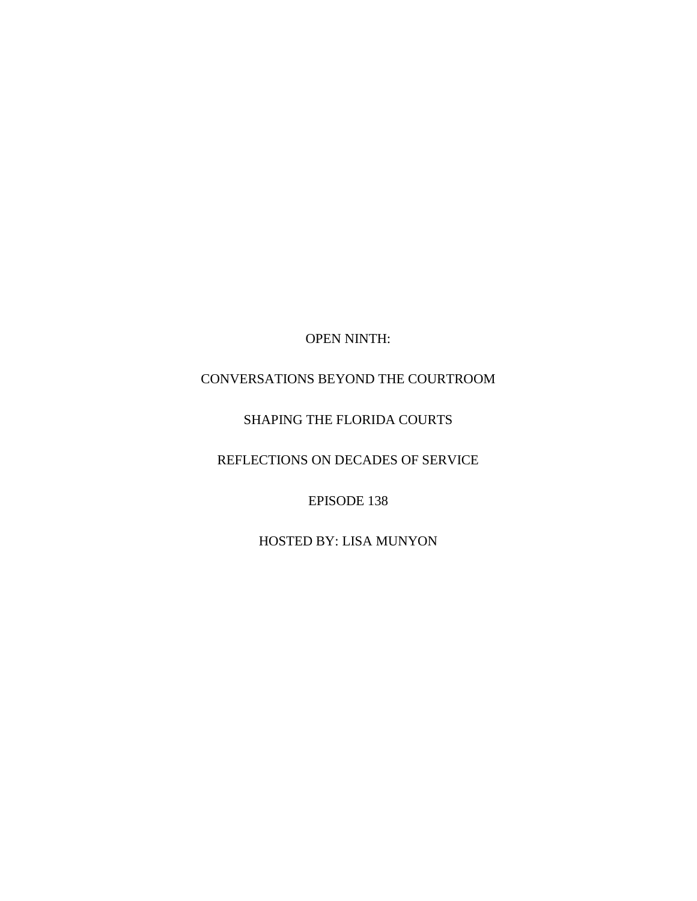OPEN NINTH:

# CONVERSATIONS BEYOND THE COURTROOM

# SHAPING THE FLORIDA COURTS

REFLECTIONS ON DECADES OF SERVICE

EPISODE 138

HOSTED BY: LISA MUNYON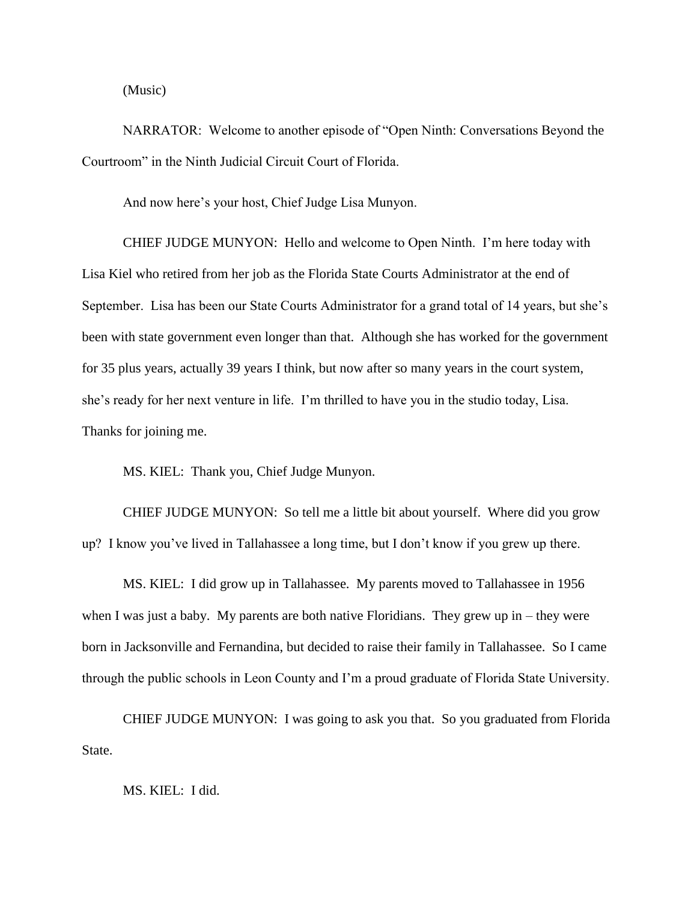(Music)

NARRATOR: Welcome to another episode of "Open Ninth: Conversations Beyond the Courtroom" in the Ninth Judicial Circuit Court of Florida.

And now here's your host, Chief Judge Lisa Munyon.

CHIEF JUDGE MUNYON: Hello and welcome to Open Ninth. I'm here today with Lisa Kiel who retired from her job as the Florida State Courts Administrator at the end of September. Lisa has been our State Courts Administrator for a grand total of 14 years, but she's been with state government even longer than that. Although she has worked for the government for 35 plus years, actually 39 years I think, but now after so many years in the court system, she's ready for her next venture in life. I'm thrilled to have you in the studio today, Lisa. Thanks for joining me.

MS. KIEL: Thank you, Chief Judge Munyon.

CHIEF JUDGE MUNYON: So tell me a little bit about yourself. Where did you grow up? I know you've lived in Tallahassee a long time, but I don't know if you grew up there.

MS. KIEL: I did grow up in Tallahassee. My parents moved to Tallahassee in 1956 when I was just a baby. My parents are both native Floridians. They grew up in  $-$  they were born in Jacksonville and Fernandina, but decided to raise their family in Tallahassee. So I came through the public schools in Leon County and I'm a proud graduate of Florida State University.

CHIEF JUDGE MUNYON: I was going to ask you that. So you graduated from Florida State.

MS. KIEL: I did.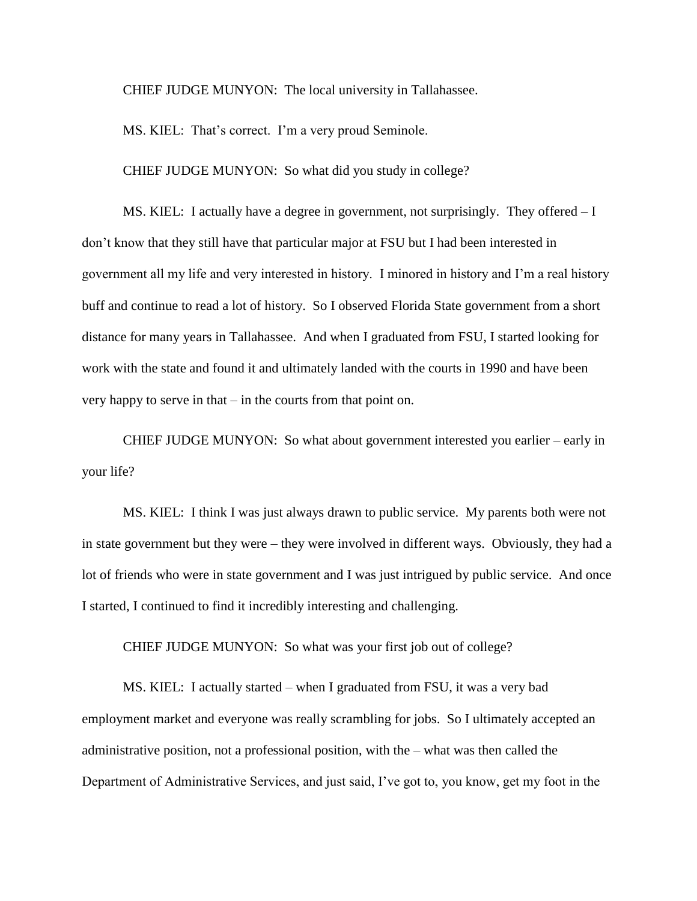CHIEF JUDGE MUNYON: The local university in Tallahassee.

MS. KIEL: That's correct. I'm a very proud Seminole.

CHIEF JUDGE MUNYON: So what did you study in college?

MS. KIEL: I actually have a degree in government, not surprisingly. They offered – I don't know that they still have that particular major at FSU but I had been interested in government all my life and very interested in history. I minored in history and I'm a real history buff and continue to read a lot of history. So I observed Florida State government from a short distance for many years in Tallahassee. And when I graduated from FSU, I started looking for work with the state and found it and ultimately landed with the courts in 1990 and have been very happy to serve in that – in the courts from that point on.

CHIEF JUDGE MUNYON: So what about government interested you earlier – early in your life?

MS. KIEL: I think I was just always drawn to public service. My parents both were not in state government but they were – they were involved in different ways. Obviously, they had a lot of friends who were in state government and I was just intrigued by public service. And once I started, I continued to find it incredibly interesting and challenging.

CHIEF JUDGE MUNYON: So what was your first job out of college?

MS. KIEL: I actually started – when I graduated from FSU, it was a very bad employment market and everyone was really scrambling for jobs. So I ultimately accepted an administrative position, not a professional position, with the – what was then called the Department of Administrative Services, and just said, I've got to, you know, get my foot in the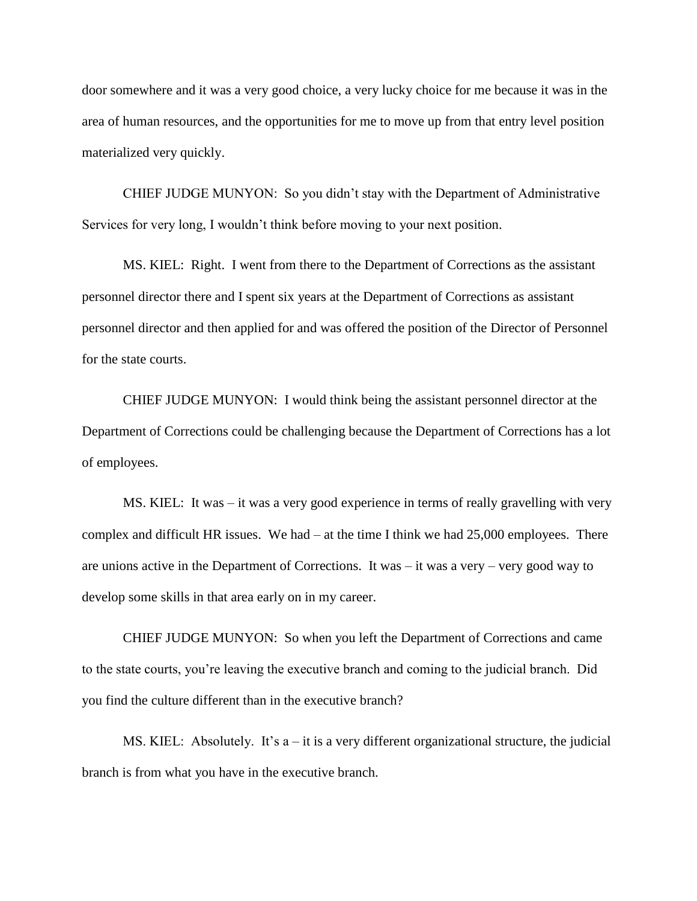door somewhere and it was a very good choice, a very lucky choice for me because it was in the area of human resources, and the opportunities for me to move up from that entry level position materialized very quickly.

CHIEF JUDGE MUNYON: So you didn't stay with the Department of Administrative Services for very long, I wouldn't think before moving to your next position.

MS. KIEL: Right. I went from there to the Department of Corrections as the assistant personnel director there and I spent six years at the Department of Corrections as assistant personnel director and then applied for and was offered the position of the Director of Personnel for the state courts.

CHIEF JUDGE MUNYON: I would think being the assistant personnel director at the Department of Corrections could be challenging because the Department of Corrections has a lot of employees.

MS. KIEL: It was – it was a very good experience in terms of really gravelling with very complex and difficult HR issues. We had – at the time I think we had 25,000 employees. There are unions active in the Department of Corrections. It was – it was a very – very good way to develop some skills in that area early on in my career.

CHIEF JUDGE MUNYON: So when you left the Department of Corrections and came to the state courts, you're leaving the executive branch and coming to the judicial branch. Did you find the culture different than in the executive branch?

MS. KIEL: Absolutely. It's a – it is a very different organizational structure, the judicial branch is from what you have in the executive branch.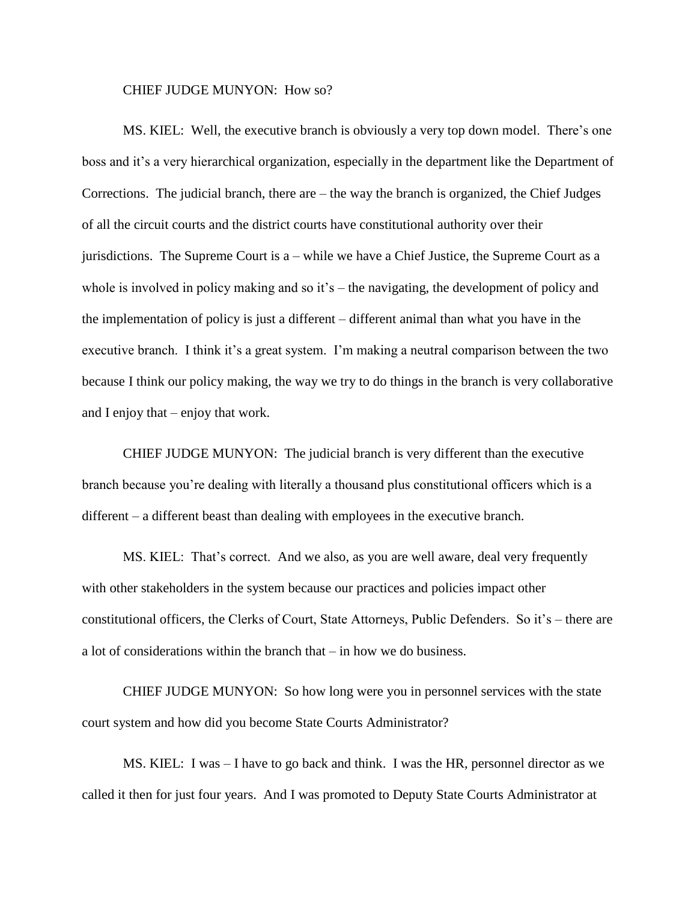#### CHIEF JUDGE MUNYON: How so?

MS. KIEL: Well, the executive branch is obviously a very top down model. There's one boss and it's a very hierarchical organization, especially in the department like the Department of Corrections. The judicial branch, there are – the way the branch is organized, the Chief Judges of all the circuit courts and the district courts have constitutional authority over their jurisdictions. The Supreme Court is a – while we have a Chief Justice, the Supreme Court as a whole is involved in policy making and so it's – the navigating, the development of policy and the implementation of policy is just a different – different animal than what you have in the executive branch. I think it's a great system. I'm making a neutral comparison between the two because I think our policy making, the way we try to do things in the branch is very collaborative and I enjoy that – enjoy that work.

CHIEF JUDGE MUNYON: The judicial branch is very different than the executive branch because you're dealing with literally a thousand plus constitutional officers which is a different – a different beast than dealing with employees in the executive branch.

MS. KIEL: That's correct. And we also, as you are well aware, deal very frequently with other stakeholders in the system because our practices and policies impact other constitutional officers, the Clerks of Court, State Attorneys, Public Defenders. So it's – there are a lot of considerations within the branch that – in how we do business.

CHIEF JUDGE MUNYON: So how long were you in personnel services with the state court system and how did you become State Courts Administrator?

MS. KIEL: I was – I have to go back and think. I was the HR, personnel director as we called it then for just four years. And I was promoted to Deputy State Courts Administrator at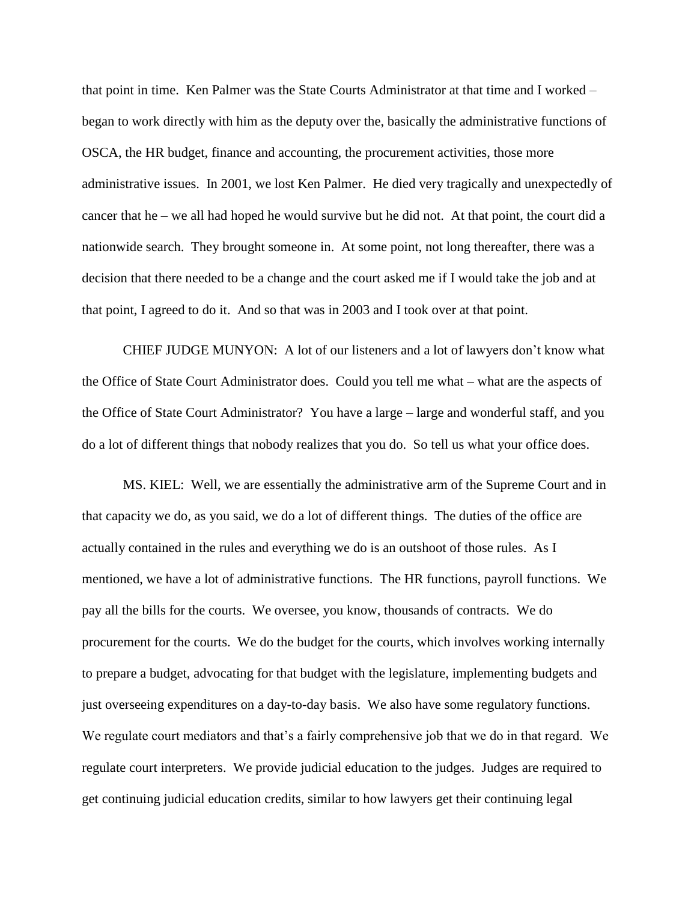that point in time. Ken Palmer was the State Courts Administrator at that time and I worked – began to work directly with him as the deputy over the, basically the administrative functions of OSCA, the HR budget, finance and accounting, the procurement activities, those more administrative issues. In 2001, we lost Ken Palmer. He died very tragically and unexpectedly of cancer that he – we all had hoped he would survive but he did not. At that point, the court did a nationwide search. They brought someone in. At some point, not long thereafter, there was a decision that there needed to be a change and the court asked me if I would take the job and at that point, I agreed to do it. And so that was in 2003 and I took over at that point.

CHIEF JUDGE MUNYON: A lot of our listeners and a lot of lawyers don't know what the Office of State Court Administrator does. Could you tell me what – what are the aspects of the Office of State Court Administrator? You have a large – large and wonderful staff, and you do a lot of different things that nobody realizes that you do. So tell us what your office does.

MS. KIEL: Well, we are essentially the administrative arm of the Supreme Court and in that capacity we do, as you said, we do a lot of different things. The duties of the office are actually contained in the rules and everything we do is an outshoot of those rules. As I mentioned, we have a lot of administrative functions. The HR functions, payroll functions. We pay all the bills for the courts. We oversee, you know, thousands of contracts. We do procurement for the courts. We do the budget for the courts, which involves working internally to prepare a budget, advocating for that budget with the legislature, implementing budgets and just overseeing expenditures on a day-to-day basis. We also have some regulatory functions. We regulate court mediators and that's a fairly comprehensive job that we do in that regard. We regulate court interpreters. We provide judicial education to the judges. Judges are required to get continuing judicial education credits, similar to how lawyers get their continuing legal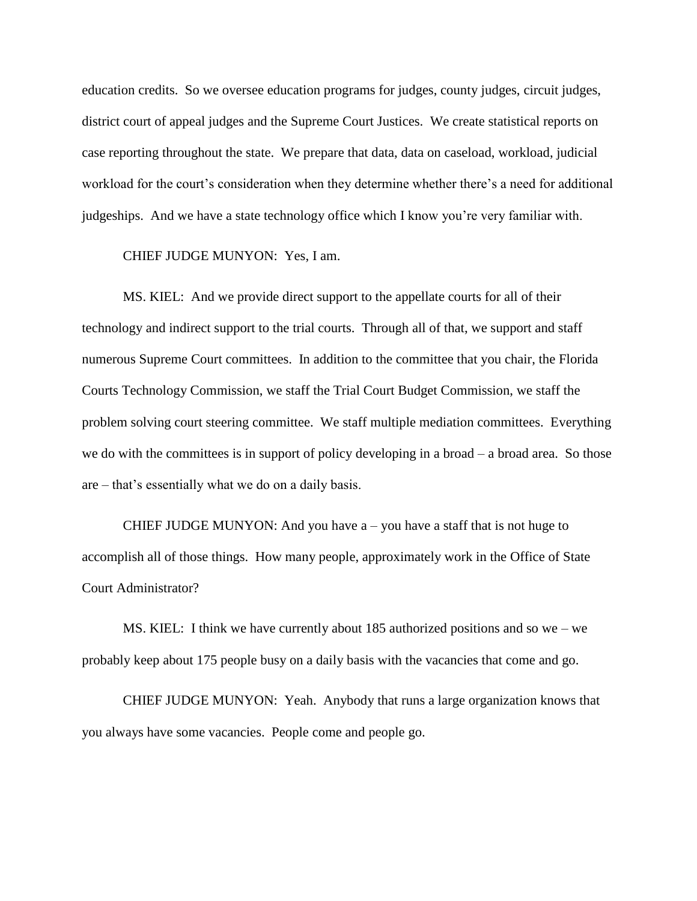education credits. So we oversee education programs for judges, county judges, circuit judges, district court of appeal judges and the Supreme Court Justices. We create statistical reports on case reporting throughout the state. We prepare that data, data on caseload, workload, judicial workload for the court's consideration when they determine whether there's a need for additional judgeships. And we have a state technology office which I know you're very familiar with.

## CHIEF JUDGE MUNYON: Yes, I am.

MS. KIEL: And we provide direct support to the appellate courts for all of their technology and indirect support to the trial courts. Through all of that, we support and staff numerous Supreme Court committees. In addition to the committee that you chair, the Florida Courts Technology Commission, we staff the Trial Court Budget Commission, we staff the problem solving court steering committee. We staff multiple mediation committees. Everything we do with the committees is in support of policy developing in a broad – a broad area. So those are – that's essentially what we do on a daily basis.

CHIEF JUDGE MUNYON: And you have  $a$  – you have a staff that is not huge to accomplish all of those things. How many people, approximately work in the Office of State Court Administrator?

MS. KIEL: I think we have currently about 185 authorized positions and so we – we probably keep about 175 people busy on a daily basis with the vacancies that come and go.

CHIEF JUDGE MUNYON: Yeah. Anybody that runs a large organization knows that you always have some vacancies. People come and people go.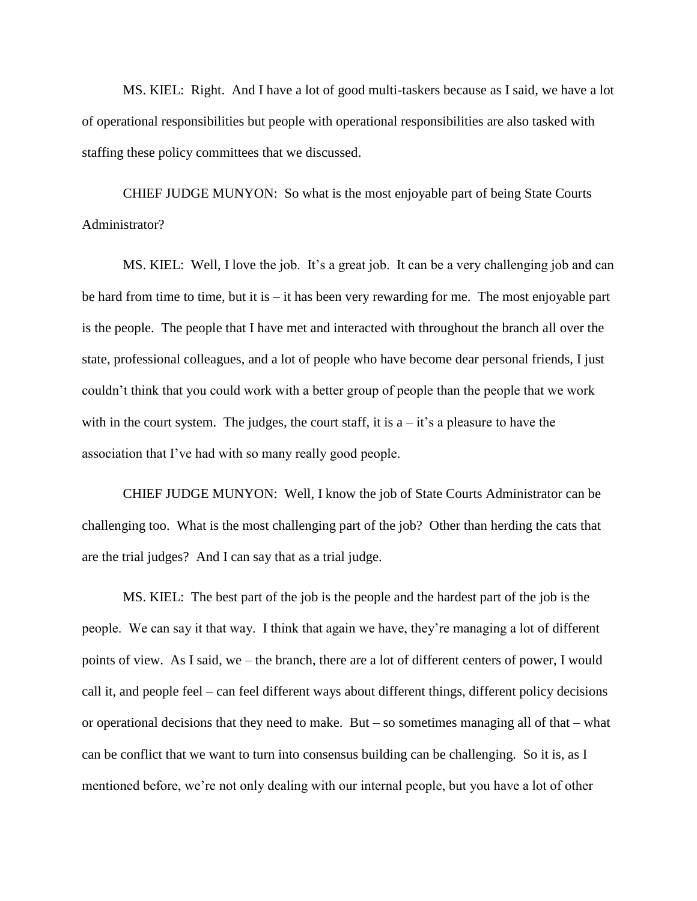MS. KIEL: Right. And I have a lot of good multi-taskers because as I said, we have a lot of operational responsibilities but people with operational responsibilities are also tasked with staffing these policy committees that we discussed.

CHIEF JUDGE MUNYON: So what is the most enjoyable part of being State Courts Administrator?

MS. KIEL: Well, I love the job. It's a great job. It can be a very challenging job and can be hard from time to time, but it is – it has been very rewarding for me. The most enjoyable part is the people. The people that I have met and interacted with throughout the branch all over the state, professional colleagues, and a lot of people who have become dear personal friends, I just couldn't think that you could work with a better group of people than the people that we work with in the court system. The judges, the court staff, it is  $a - it$ 's a pleasure to have the association that I've had with so many really good people.

CHIEF JUDGE MUNYON: Well, I know the job of State Courts Administrator can be challenging too. What is the most challenging part of the job? Other than herding the cats that are the trial judges? And I can say that as a trial judge.

MS. KIEL: The best part of the job is the people and the hardest part of the job is the people. We can say it that way. I think that again we have, they're managing a lot of different points of view. As I said, we – the branch, there are a lot of different centers of power, I would call it, and people feel – can feel different ways about different things, different policy decisions or operational decisions that they need to make. But – so sometimes managing all of that – what can be conflict that we want to turn into consensus building can be challenging. So it is, as I mentioned before, we're not only dealing with our internal people, but you have a lot of other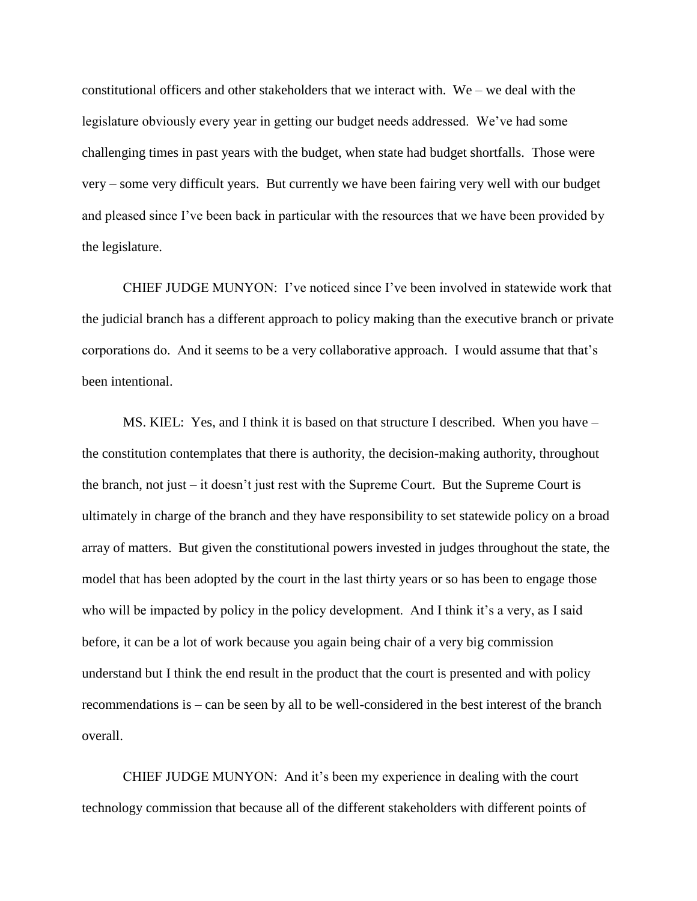constitutional officers and other stakeholders that we interact with. We – we deal with the legislature obviously every year in getting our budget needs addressed. We've had some challenging times in past years with the budget, when state had budget shortfalls. Those were very – some very difficult years. But currently we have been fairing very well with our budget and pleased since I've been back in particular with the resources that we have been provided by the legislature.

CHIEF JUDGE MUNYON: I've noticed since I've been involved in statewide work that the judicial branch has a different approach to policy making than the executive branch or private corporations do. And it seems to be a very collaborative approach. I would assume that that's been intentional.

MS. KIEL: Yes, and I think it is based on that structure I described. When you have – the constitution contemplates that there is authority, the decision-making authority, throughout the branch, not just – it doesn't just rest with the Supreme Court. But the Supreme Court is ultimately in charge of the branch and they have responsibility to set statewide policy on a broad array of matters. But given the constitutional powers invested in judges throughout the state, the model that has been adopted by the court in the last thirty years or so has been to engage those who will be impacted by policy in the policy development. And I think it's a very, as I said before, it can be a lot of work because you again being chair of a very big commission understand but I think the end result in the product that the court is presented and with policy recommendations is – can be seen by all to be well-considered in the best interest of the branch overall.

CHIEF JUDGE MUNYON: And it's been my experience in dealing with the court technology commission that because all of the different stakeholders with different points of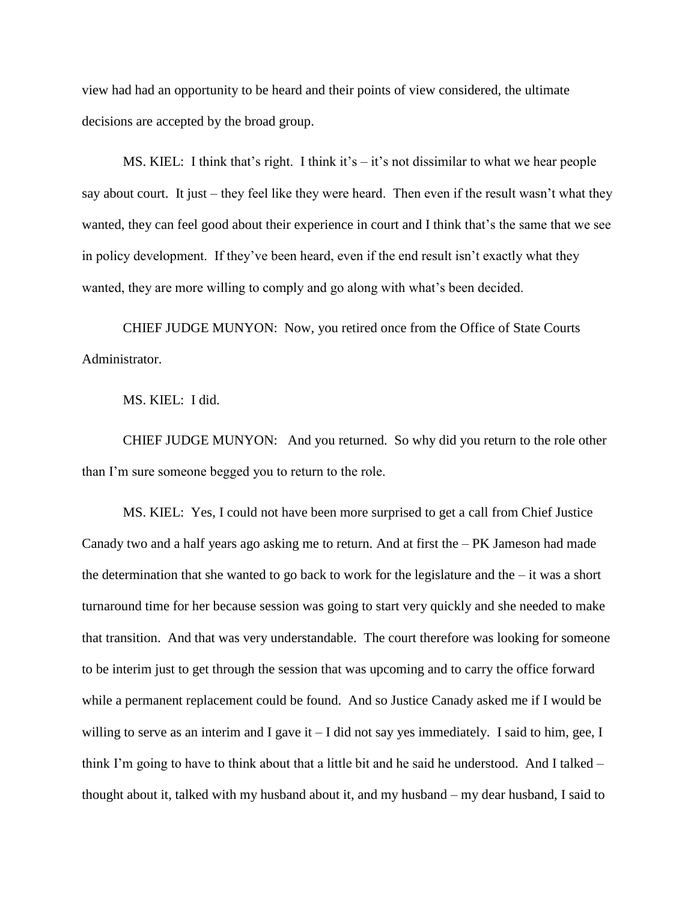view had had an opportunity to be heard and their points of view considered, the ultimate decisions are accepted by the broad group.

MS. KIEL: I think that's right. I think it's  $-$  it's not dissimilar to what we hear people say about court. It just – they feel like they were heard. Then even if the result wasn't what they wanted, they can feel good about their experience in court and I think that's the same that we see in policy development. If they've been heard, even if the end result isn't exactly what they wanted, they are more willing to comply and go along with what's been decided.

CHIEF JUDGE MUNYON: Now, you retired once from the Office of State Courts Administrator.

MS. KIEL: I did.

CHIEF JUDGE MUNYON: And you returned. So why did you return to the role other than I'm sure someone begged you to return to the role.

MS. KIEL: Yes, I could not have been more surprised to get a call from Chief Justice Canady two and a half years ago asking me to return. And at first the  $-PK$  Jameson had made the determination that she wanted to go back to work for the legislature and the – it was a short turnaround time for her because session was going to start very quickly and she needed to make that transition. And that was very understandable. The court therefore was looking for someone to be interim just to get through the session that was upcoming and to carry the office forward while a permanent replacement could be found. And so Justice Canady asked me if I would be willing to serve as an interim and I gave it – I did not say yes immediately. I said to him, gee, I think I'm going to have to think about that a little bit and he said he understood. And I talked – thought about it, talked with my husband about it, and my husband – my dear husband, I said to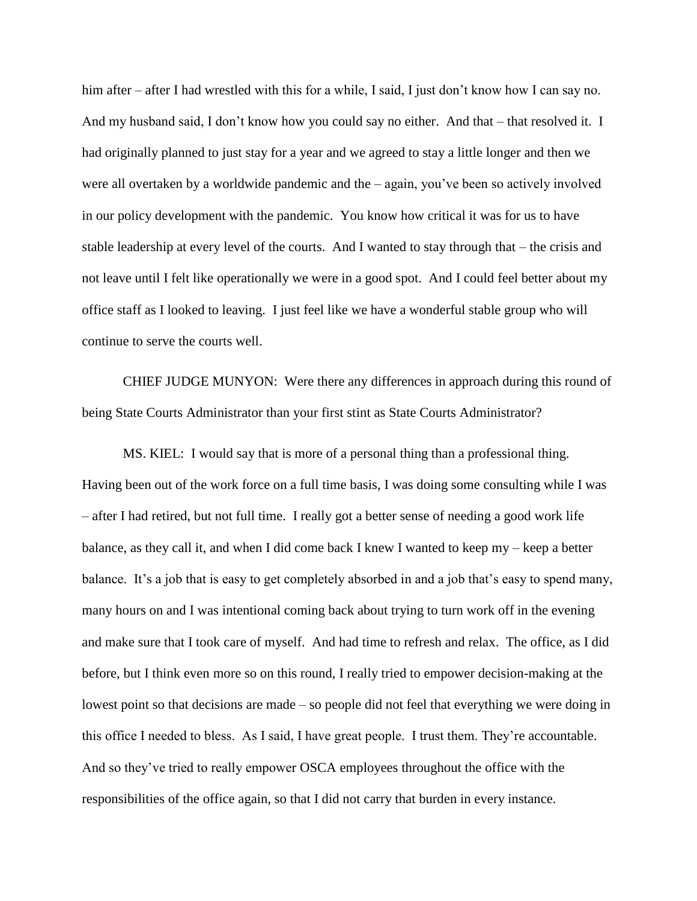him after – after I had wrestled with this for a while, I said, I just don't know how I can say no. And my husband said, I don't know how you could say no either. And that – that resolved it. I had originally planned to just stay for a year and we agreed to stay a little longer and then we were all overtaken by a worldwide pandemic and the – again, you've been so actively involved in our policy development with the pandemic. You know how critical it was for us to have stable leadership at every level of the courts. And I wanted to stay through that – the crisis and not leave until I felt like operationally we were in a good spot. And I could feel better about my office staff as I looked to leaving. I just feel like we have a wonderful stable group who will continue to serve the courts well.

CHIEF JUDGE MUNYON: Were there any differences in approach during this round of being State Courts Administrator than your first stint as State Courts Administrator?

MS. KIEL: I would say that is more of a personal thing than a professional thing. Having been out of the work force on a full time basis, I was doing some consulting while I was – after I had retired, but not full time. I really got a better sense of needing a good work life balance, as they call it, and when I did come back I knew I wanted to keep my – keep a better balance. It's a job that is easy to get completely absorbed in and a job that's easy to spend many, many hours on and I was intentional coming back about trying to turn work off in the evening and make sure that I took care of myself. And had time to refresh and relax. The office, as I did before, but I think even more so on this round, I really tried to empower decision-making at the lowest point so that decisions are made – so people did not feel that everything we were doing in this office I needed to bless. As I said, I have great people. I trust them. They're accountable. And so they've tried to really empower OSCA employees throughout the office with the responsibilities of the office again, so that I did not carry that burden in every instance.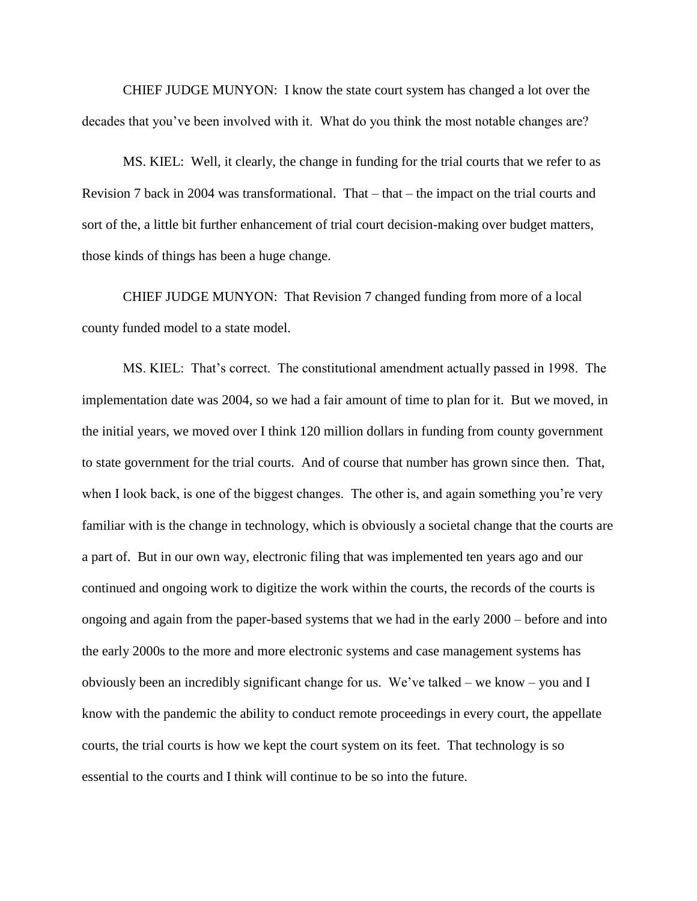CHIEF JUDGE MUNYON: I know the state court system has changed a lot over the decades that you've been involved with it. What do you think the most notable changes are?

MS. KIEL: Well, it clearly, the change in funding for the trial courts that we refer to as Revision 7 back in 2004 was transformational. That – that – the impact on the trial courts and sort of the, a little bit further enhancement of trial court decision-making over budget matters, those kinds of things has been a huge change.

CHIEF JUDGE MUNYON: That Revision 7 changed funding from more of a local county funded model to a state model.

MS. KIEL: That's correct. The constitutional amendment actually passed in 1998. The implementation date was 2004, so we had a fair amount of time to plan for it. But we moved, in the initial years, we moved over I think 120 million dollars in funding from county government to state government for the trial courts. And of course that number has grown since then. That, when I look back, is one of the biggest changes. The other is, and again something you're very familiar with is the change in technology, which is obviously a societal change that the courts are a part of. But in our own way, electronic filing that was implemented ten years ago and our continued and ongoing work to digitize the work within the courts, the records of the courts is ongoing and again from the paper-based systems that we had in the early 2000 – before and into the early 2000s to the more and more electronic systems and case management systems has obviously been an incredibly significant change for us. We've talked – we know – you and I know with the pandemic the ability to conduct remote proceedings in every court, the appellate courts, the trial courts is how we kept the court system on its feet. That technology is so essential to the courts and I think will continue to be so into the future.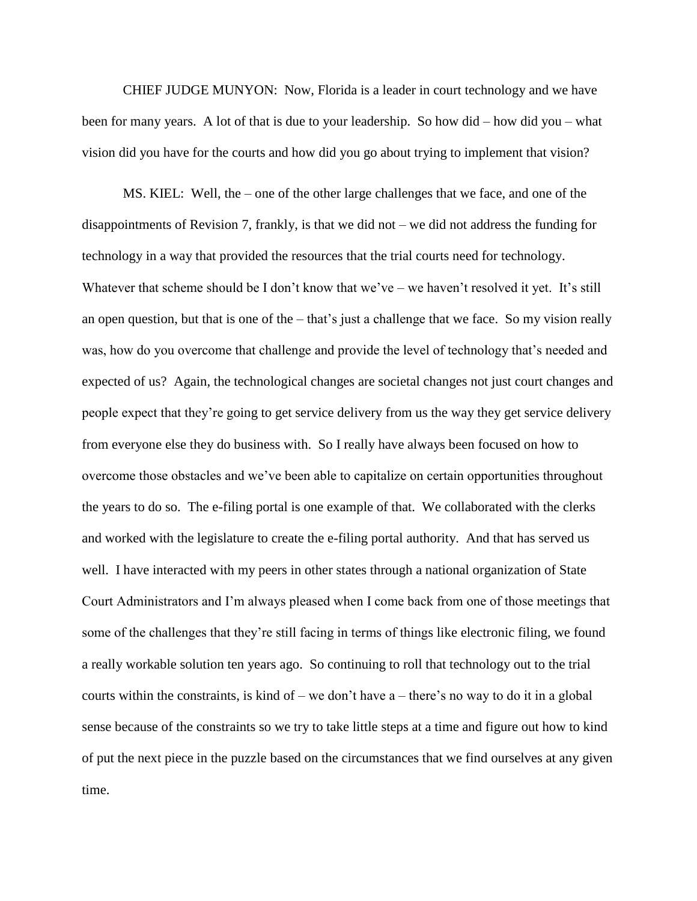CHIEF JUDGE MUNYON: Now, Florida is a leader in court technology and we have been for many years. A lot of that is due to your leadership. So how did – how did you – what vision did you have for the courts and how did you go about trying to implement that vision?

MS. KIEL: Well, the – one of the other large challenges that we face, and one of the disappointments of Revision 7, frankly, is that we did not – we did not address the funding for technology in a way that provided the resources that the trial courts need for technology. Whatever that scheme should be I don't know that we've – we haven't resolved it yet. It's still an open question, but that is one of the – that's just a challenge that we face. So my vision really was, how do you overcome that challenge and provide the level of technology that's needed and expected of us? Again, the technological changes are societal changes not just court changes and people expect that they're going to get service delivery from us the way they get service delivery from everyone else they do business with. So I really have always been focused on how to overcome those obstacles and we've been able to capitalize on certain opportunities throughout the years to do so. The e-filing portal is one example of that. We collaborated with the clerks and worked with the legislature to create the e-filing portal authority. And that has served us well. I have interacted with my peers in other states through a national organization of State Court Administrators and I'm always pleased when I come back from one of those meetings that some of the challenges that they're still facing in terms of things like electronic filing, we found a really workable solution ten years ago. So continuing to roll that technology out to the trial courts within the constraints, is kind of – we don't have a – there's no way to do it in a global sense because of the constraints so we try to take little steps at a time and figure out how to kind of put the next piece in the puzzle based on the circumstances that we find ourselves at any given time.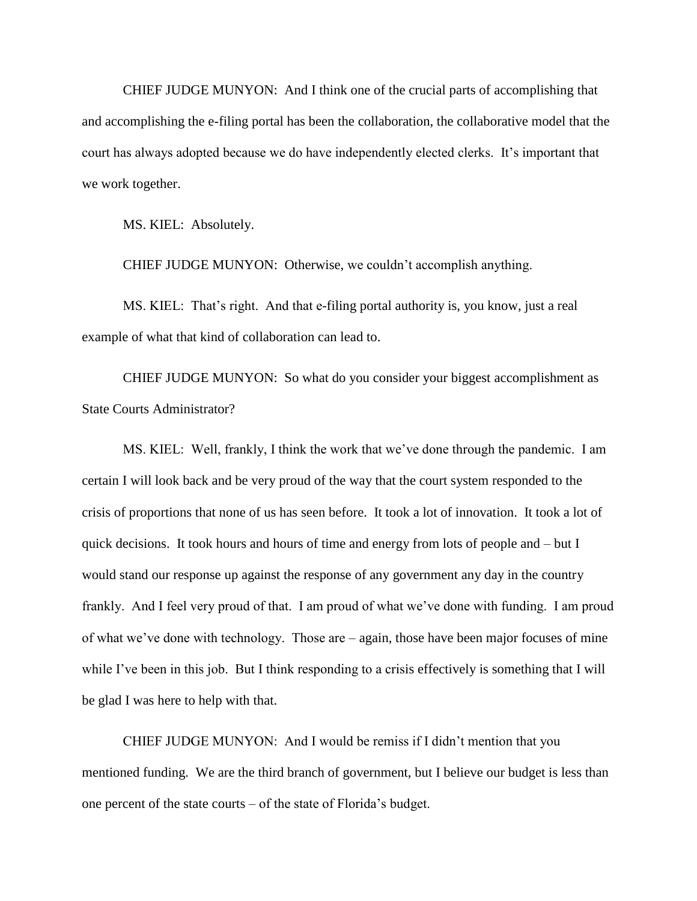CHIEF JUDGE MUNYON: And I think one of the crucial parts of accomplishing that and accomplishing the e-filing portal has been the collaboration, the collaborative model that the court has always adopted because we do have independently elected clerks. It's important that we work together.

MS. KIEL: Absolutely.

CHIEF JUDGE MUNYON: Otherwise, we couldn't accomplish anything.

MS. KIEL: That's right. And that e-filing portal authority is, you know, just a real example of what that kind of collaboration can lead to.

CHIEF JUDGE MUNYON: So what do you consider your biggest accomplishment as State Courts Administrator?

MS. KIEL: Well, frankly, I think the work that we've done through the pandemic. I am certain I will look back and be very proud of the way that the court system responded to the crisis of proportions that none of us has seen before. It took a lot of innovation. It took a lot of quick decisions. It took hours and hours of time and energy from lots of people and – but I would stand our response up against the response of any government any day in the country frankly. And I feel very proud of that. I am proud of what we've done with funding. I am proud of what we've done with technology. Those are – again, those have been major focuses of mine while I've been in this job. But I think responding to a crisis effectively is something that I will be glad I was here to help with that.

CHIEF JUDGE MUNYON: And I would be remiss if I didn't mention that you mentioned funding. We are the third branch of government, but I believe our budget is less than one percent of the state courts – of the state of Florida's budget.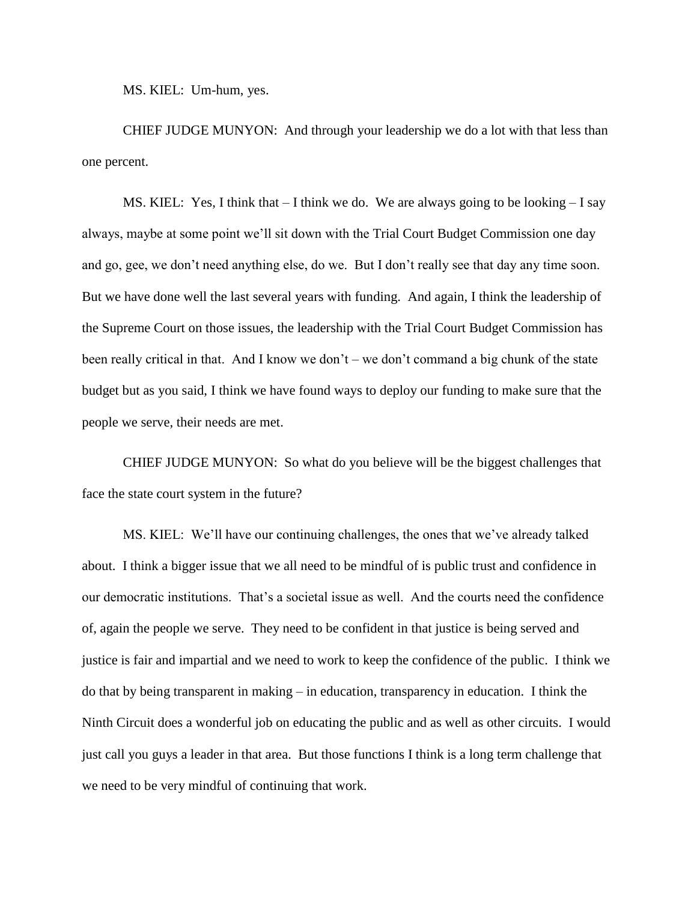MS. KIEL: Um-hum, yes.

CHIEF JUDGE MUNYON: And through your leadership we do a lot with that less than one percent.

MS. KIEL: Yes, I think that  $-1$  think we do. We are always going to be looking  $-1$  say always, maybe at some point we'll sit down with the Trial Court Budget Commission one day and go, gee, we don't need anything else, do we. But I don't really see that day any time soon. But we have done well the last several years with funding. And again, I think the leadership of the Supreme Court on those issues, the leadership with the Trial Court Budget Commission has been really critical in that. And I know we don't – we don't command a big chunk of the state budget but as you said, I think we have found ways to deploy our funding to make sure that the people we serve, their needs are met.

CHIEF JUDGE MUNYON: So what do you believe will be the biggest challenges that face the state court system in the future?

MS. KIEL: We'll have our continuing challenges, the ones that we've already talked about. I think a bigger issue that we all need to be mindful of is public trust and confidence in our democratic institutions. That's a societal issue as well. And the courts need the confidence of, again the people we serve. They need to be confident in that justice is being served and justice is fair and impartial and we need to work to keep the confidence of the public. I think we do that by being transparent in making – in education, transparency in education. I think the Ninth Circuit does a wonderful job on educating the public and as well as other circuits. I would just call you guys a leader in that area. But those functions I think is a long term challenge that we need to be very mindful of continuing that work.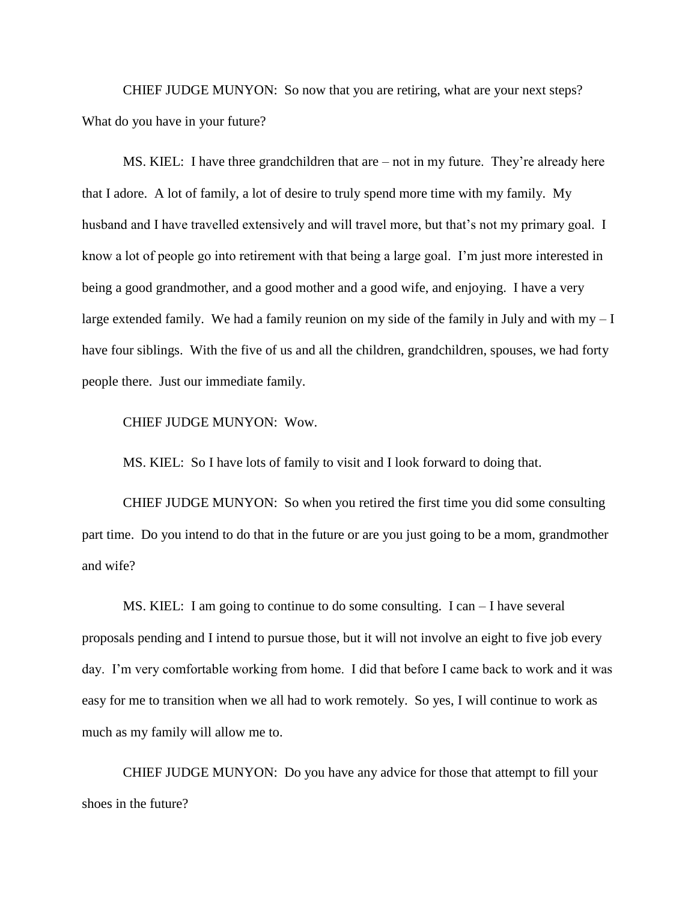CHIEF JUDGE MUNYON: So now that you are retiring, what are your next steps? What do you have in your future?

MS. KIEL: I have three grandchildren that are – not in my future. They're already here that I adore. A lot of family, a lot of desire to truly spend more time with my family. My husband and I have travelled extensively and will travel more, but that's not my primary goal. I know a lot of people go into retirement with that being a large goal. I'm just more interested in being a good grandmother, and a good mother and a good wife, and enjoying. I have a very large extended family. We had a family reunion on my side of the family in July and with my  $-I$ have four siblings. With the five of us and all the children, grandchildren, spouses, we had forty people there. Just our immediate family.

## CHIEF JUDGE MUNYON: Wow.

MS. KIEL: So I have lots of family to visit and I look forward to doing that.

CHIEF JUDGE MUNYON: So when you retired the first time you did some consulting part time. Do you intend to do that in the future or are you just going to be a mom, grandmother and wife?

MS. KIEL: I am going to continue to do some consulting. I can – I have several proposals pending and I intend to pursue those, but it will not involve an eight to five job every day. I'm very comfortable working from home. I did that before I came back to work and it was easy for me to transition when we all had to work remotely. So yes, I will continue to work as much as my family will allow me to.

CHIEF JUDGE MUNYON: Do you have any advice for those that attempt to fill your shoes in the future?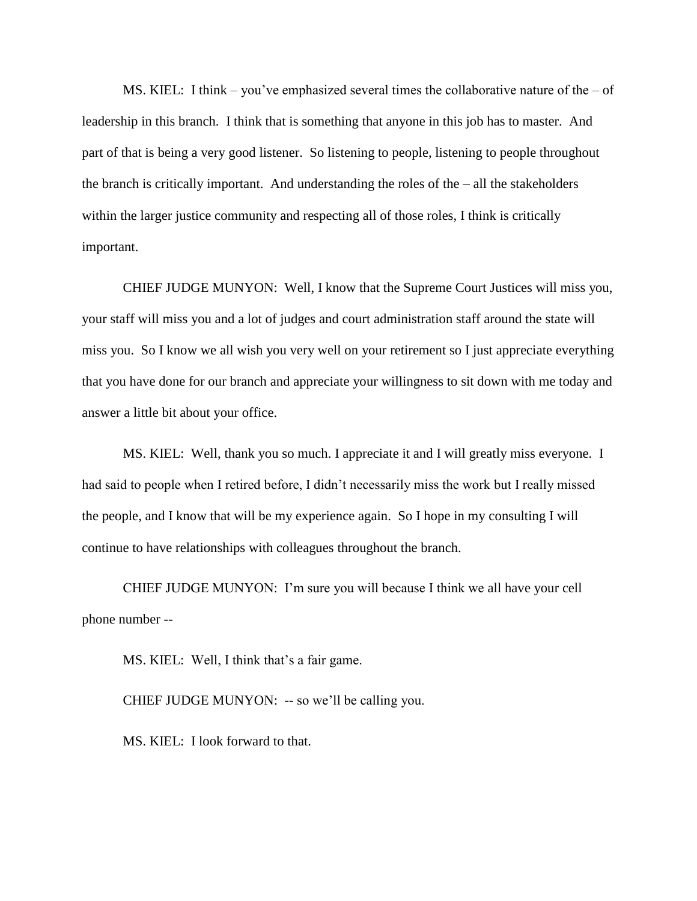MS. KIEL: I think – you've emphasized several times the collaborative nature of the – of leadership in this branch. I think that is something that anyone in this job has to master. And part of that is being a very good listener. So listening to people, listening to people throughout the branch is critically important. And understanding the roles of the – all the stakeholders within the larger justice community and respecting all of those roles, I think is critically important.

CHIEF JUDGE MUNYON: Well, I know that the Supreme Court Justices will miss you, your staff will miss you and a lot of judges and court administration staff around the state will miss you. So I know we all wish you very well on your retirement so I just appreciate everything that you have done for our branch and appreciate your willingness to sit down with me today and answer a little bit about your office.

MS. KIEL: Well, thank you so much. I appreciate it and I will greatly miss everyone. I had said to people when I retired before, I didn't necessarily miss the work but I really missed the people, and I know that will be my experience again. So I hope in my consulting I will continue to have relationships with colleagues throughout the branch.

CHIEF JUDGE MUNYON: I'm sure you will because I think we all have your cell phone number --

MS. KIEL: Well, I think that's a fair game.

CHIEF JUDGE MUNYON: -- so we'll be calling you.

MS. KIEL: I look forward to that.